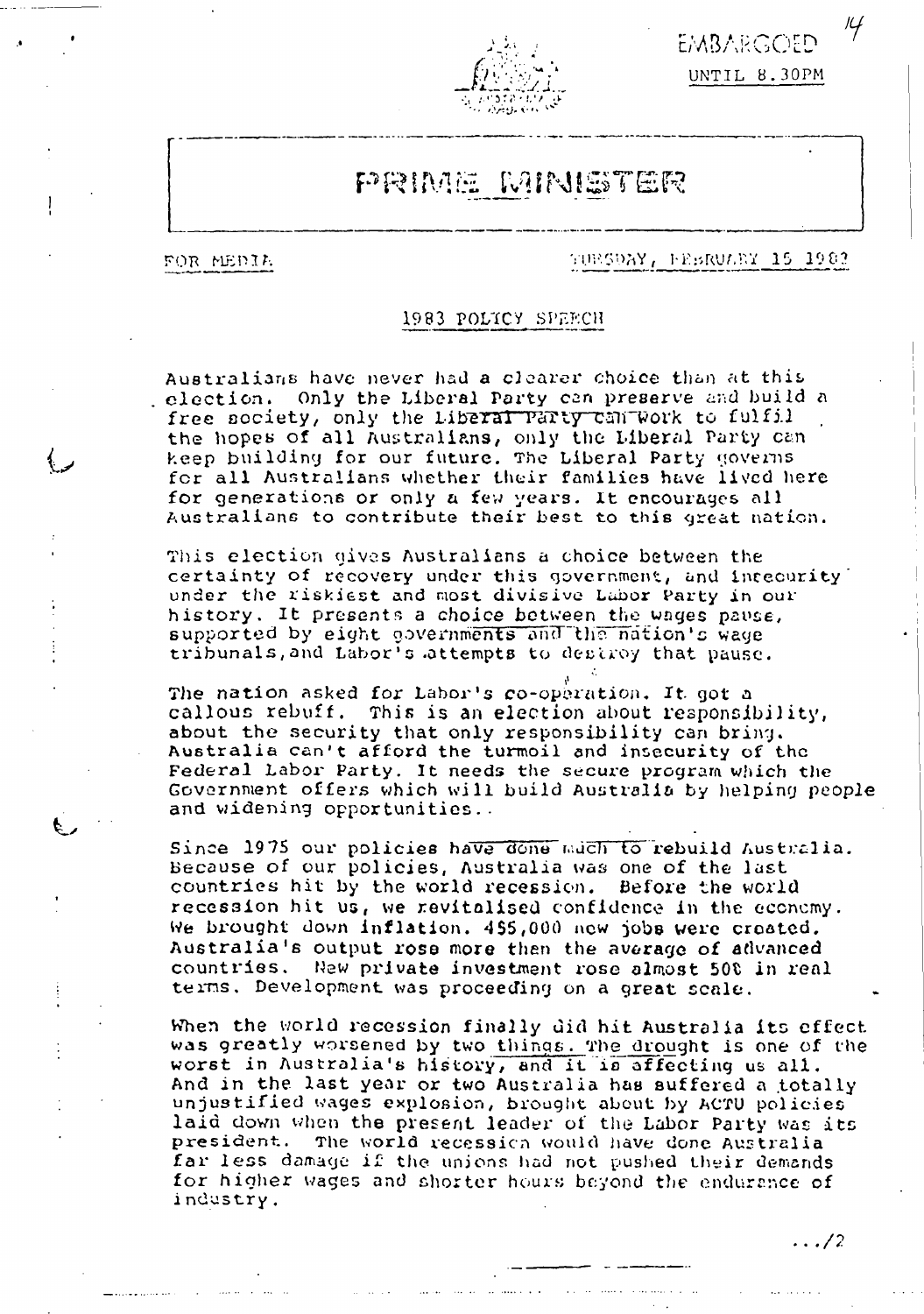



# PRIME MINISTER

FOR MEDIA

TUBSDAY, FEBRUARY 15 1983

 $\ldots/2$ 

#### 1983 POLICY SPEECH

Australiams have never had a clearer choice than at this - election. Only the Liberal Party can preserve and build a free society, only the Liberal Party can Work to fulfil the hopes of all Australians, only the Liberal Party can keep building for our future. The Liberal Party governs for all Australians whether their families have lived here for generations or only a few years. It encourages all Australians to contribute their best to this great nation.

This election gives Australians a choice between the certainty of recovery under this government, and intecurity under the riskiest and most divisive Labor Party in our history. It presents a choice between the wages pause, supported by eight governments and the nation's wage tribunals, and Labor's attempts to destroy that pause.

The nation asked for Labor's co-operation. It got a callous rebuff. This is an election about responsibility, about the security that only responsibility can bring. Australia can't afford the turmoil and insecurity of the Federal Labor Party. It needs the secure program which the Government offers which will build Australia by helping people and widening opportunities..

Since 1975 our policies have done much to rebuild Australia. Because of our policies, Australia was one of the last countries hit by the world recession. Before the world recession hit us, we revitalised confidence in the economy. We brought down inflation. 455,000 new jobs were created. Australia's output rose more than the average of advanced countries. New private investment rose almost 500 in real terms. Development was proceeding on a great scale.

When the world recession finally did hit Australia its effect was greatly worsened by two things. The drought is one of the worst in Australia's history, and it is affecting us all. And in the last year or two Australia has suffered a totally unjustified wages explosion, brought about by ACTU policies laid down when the present leader of the Labor Party was its president. The world recession would have done Australia far less damage if the unions had not pushed their demands for higher wages and shorter hours beyond the endurance of industry.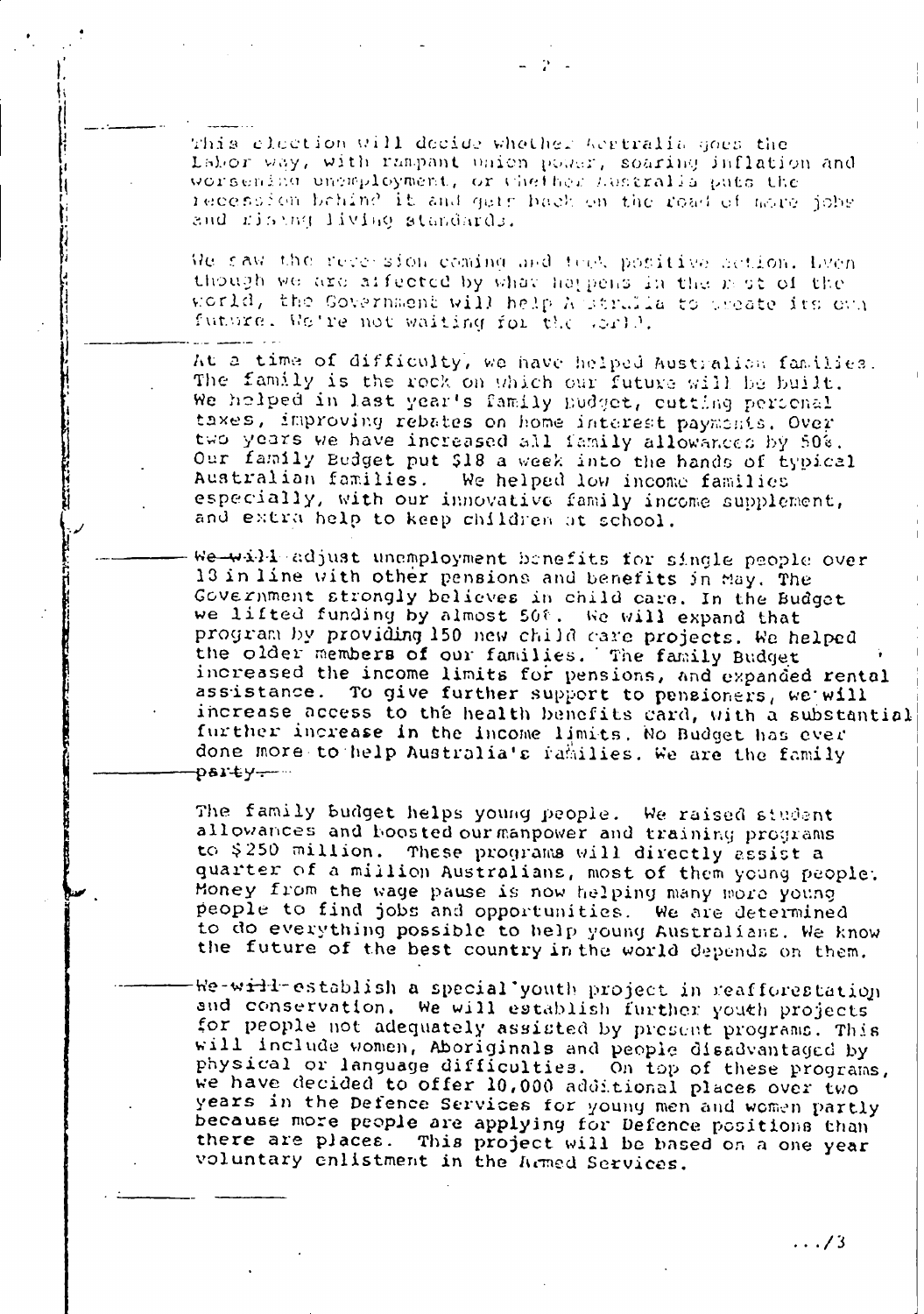This election will decide whether Westralia goes the Labor way, with rampant union power, soaring inflation and worsening ungaployment, or thether hustralla puts the recession behind it and gers hack on the road of more jobs and ristng living standards.

We saw the receision coming and teel positive action. Even though we are affected by what happens in the mot of the world, the Government will help A strails to preate its own fundre. We're not waiting for the sorll.

At a time of difficulty, we have helped Australian families. The family is the rock on which our future will be built. We holped in last year's family pudget, cutting personal taxes, improving rebates on home interest paymonts. Over two years we have increased all family allowances by 50%. Our family Budget put \$18 a week into the hands of typical Australian families. We helped low income families especially, with our innovative family income supplement, and extra help to keep children at school.

We-will adjust unamployment benefits for single people over 13 in line with other pensions and benefits in May. The Government strongly believes in child care. In the Budget we lifted funding by almost 50%. We will expand that program by providing 150 new child care projects. We helped the older members of our families. The family Budget increased the income limits for pensions, and expanded rental assistance. To give further support to pensioners, we will increase access to the health benefits card, with a substantial further increase in the income limits. No Budget has ever done more to help Australia's families. We are the family party-

The family budget helps young people. We raised student allowances and boosted our manpower and training programs to \$250 million. These programs will directly assist a quarter of a million Australians, most of them young people. Money from the wage pause is now helping many more young people to find jobs and opportunities. We are determined to do everything possible to help young Australians. We know the future of the best country in the world depends on them.

We-will-establish a special youth project in reafforestation and conservation. We will establish further youth projects for people not adequately assisted by present programs. This will include women, Aboriginals and people disadvantaged by physical or language difficulties. On top of these programs, we have decided to offer 10,000 additional places over two years in the Defence Services for young men and women partly because more people are applying for Defence positions than there are places. This project will be based on a one year voluntary enlistment in the Armed Services.

 $\ldots/3$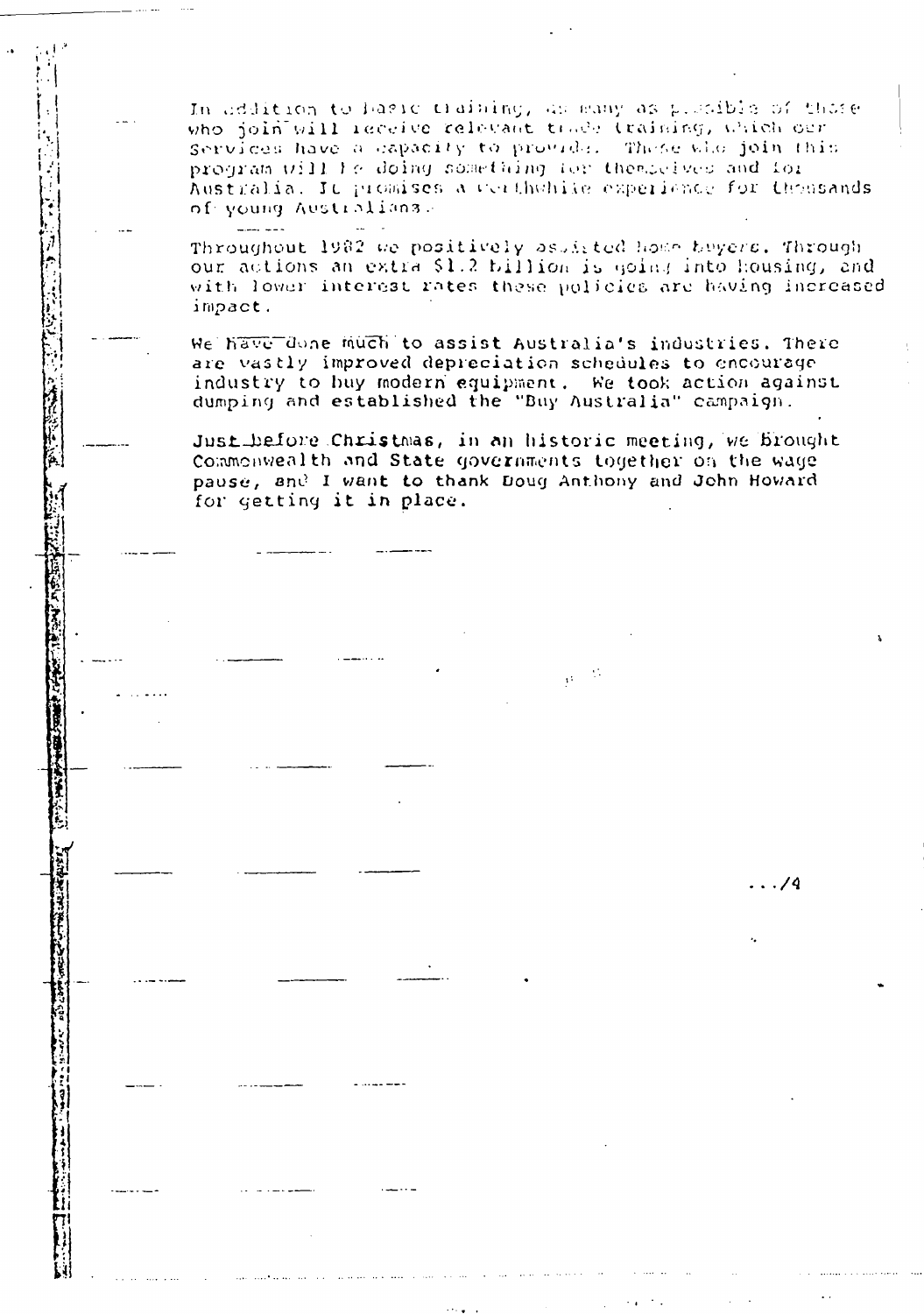In addition to havid training, as easy as pleaible of those who join will receive relevant trade training, which our services have a capacity to provide. These who join this program will be doing something for the modern and for Australia. It promises a conthwhile experience for thousands of young Australians.

Throughout 1982 we positively assisted home buyers. Through our actions an extra \$1.2 billion is going into housing, and with lower interest rates these policies are having increased impact.

We have done much to assist Australia's industries. There are vastly improved depreciation schedules to encourage industry to huy modern equipment. We took action against dumping and established the "Buy Australia" campaign.

Just before Christmas, in an historic meeting, we brought Commonwealth and State governments together on the wage pause, and I want to thank Doug Anthony and John Howard for getting it in place.

> $\sim 10$ ò.

> > $\ldots$ /4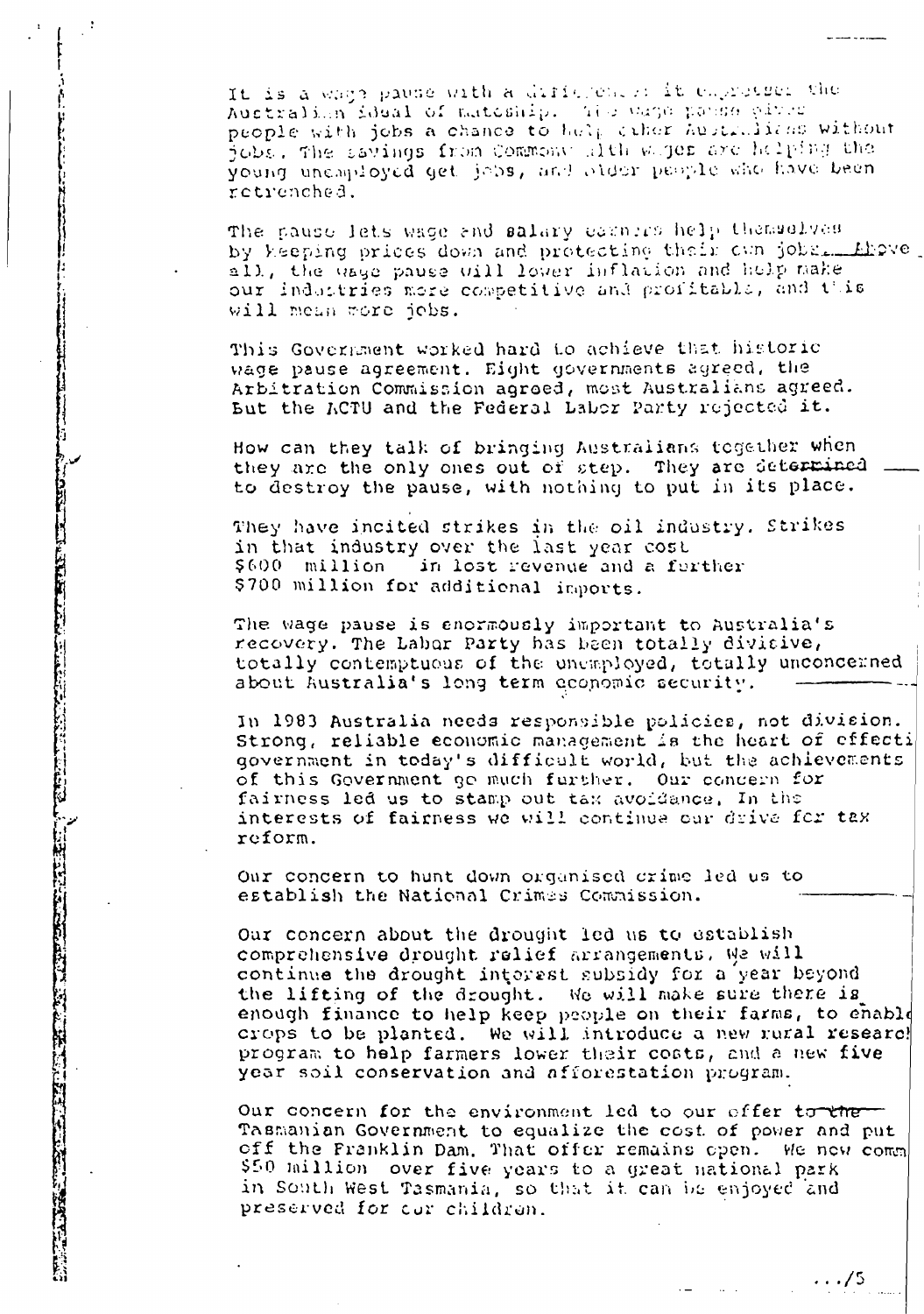It is a wage pause with a difference: it emprosses the Australian ideal of mateship. The wage panse pives people with jobs a chance to help ciher hustralizes without jobs, the savings from Commony alth wajer are helping the young uncaployed get jobs, and older people who have been retrenched.

The pause lets wage and salary earners help themselves by keeping prices down and protecting their cun jobs. Eleve, all, the uses pause will lower inflation and help make our industries more competitive and profitable, and this will mean more jobs.

This Government worked hard to achieve that historic wage pause agreement. Eight governments agreed, the Arbitration Commission agreed, most Australians agreed. But the ACTU and the Federal Labor Party rejected it.

How can they talk of bringing Australians together when they are the only ones out of step. They are determined to destroy the pause, with nothing to put in its place.

They have incited strikes in the oil industry. Strikes in that industry over the last year cost  $$600$  million in lost revenue and a further \$700 million for additional imports.

The wage pause is enormously important to Australia's recovery. The Labor Party has been totally divisive, totally contemptuous of the unemployed, totally unconcerned about Australia's long term oconomic security.

In 1983 Australia needs responsible policies, not division. Strong, reliable economic management is the heart of effecti government in today's difficult world, but the achievements of this Government go much further. Our concern for fairness led us to stamp out tax avoidance. In the interests of fairness we will continue our drive for tax reform.

Our concern to hunt down organised crime led us to establish the National Crimes Commission.

Our concern about the drought led us to establish comprehensive drought relief arrangements. We will continue the drought interest subsidy for a year beyond the lifting of the drought. We will make sure there is enough finance to help keep people on their farms, to enable crops to be planted. We will introduce a new rural researc! program to help farmers lower their costs, and a new five year soil conservation and afforestation program.

Our concern for the environment led to our offer to the Tasmanian Government to equalize the cost of power and put off the Franklin Dam. That offer remains open. We new comm \$50 million over five years to a great national park in South West Tasmania, so that it can be enjoyed and preserved for our children.

 $\cdots/5$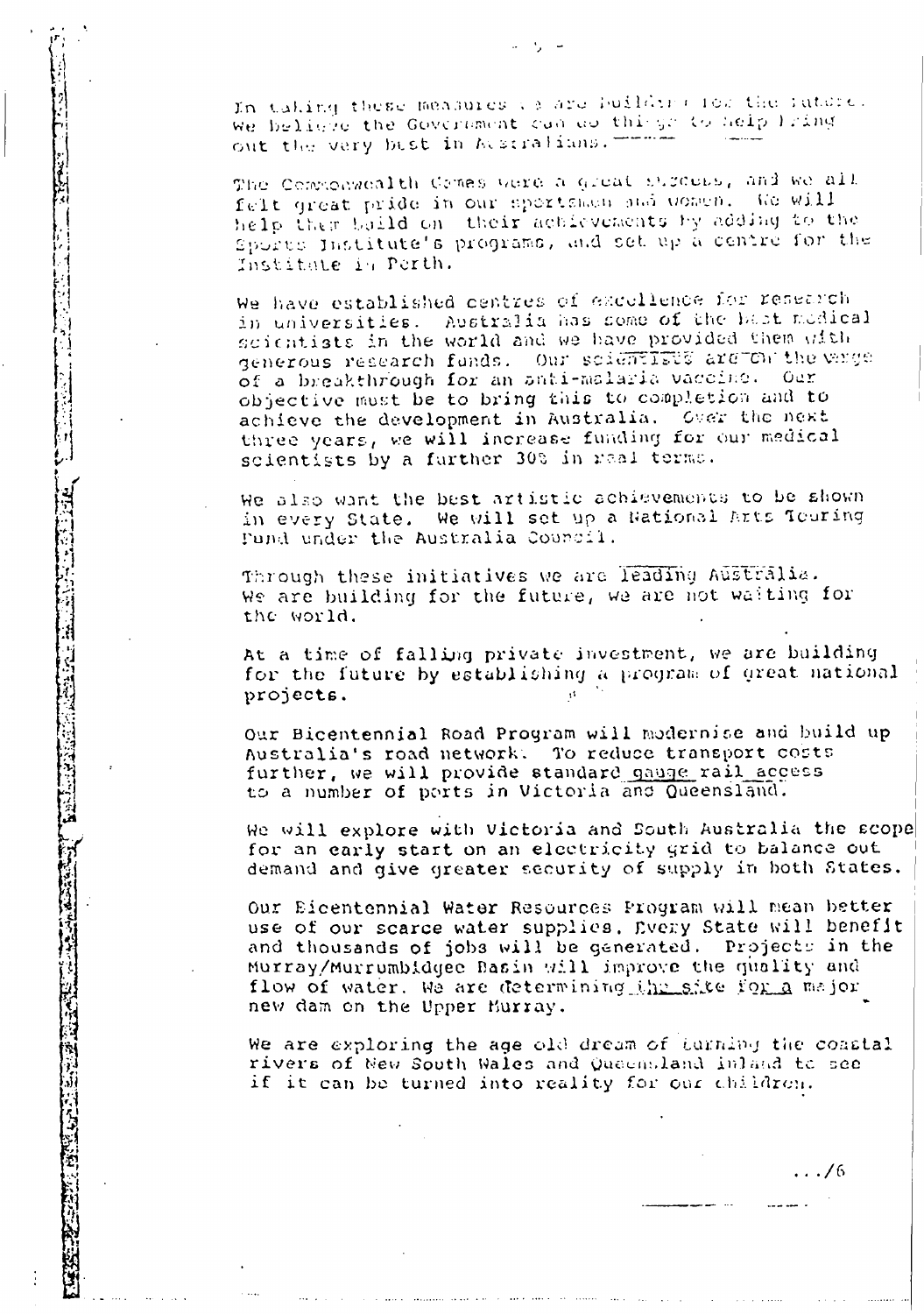In taking these measures to are building for the rature. We believe the Government can do things to help liking out the very best in Matralians. ---

The Commonwealth Comes were a great streets, and we all felt great pride in our sportsmen and women. We will help them build on their achievements by adding to the Sports Institute's programs, and set up a centre for the Institute in Perth.

We have established centres of excellence for research in universities. Australia has some of the bast modical scientists in the world and we have provided them with generous research funds. Our scientifies are on the wage of a breakthrough for an anti-malaria vaccine. Our objective must be to bring this to completion and to achieve the development in Australia. Over the next three years, we will increase funding for our medical scientists by a further 30% in real terms.

We also want the best artistic achievements to be ahown in every State. We will set up a National Arts Touring Pund under the Australia Council.

Through these initiatives we are leading Australia. We are building for the future, we are not waiting for the world.

At a time of falling private investment, we are building for the future by establishing a program of great national projects.

Our Bicentennial Road Program will modernise and build up Australia's road network. To reduce transport costs further, we will provide standard gauge rail access to a number of ports in Victoria and Queensland.

We will explore with Victoria and South Australia the scope for an early start on an electricity grid to balance out demand and give greater security of supply in both States.

Our Eicentennial Water Resources Program will mean better use of our scarce water supplies. Every State will benefit and thousands of jobs will be generated. Projects in the Murray/Murrumbidgee Basin will improve the quality and flow of water. We are determining the site for a major new dam on the Upper Burray.

We are exploring the age old dream of turning the coastal rivers of New South Wales and Queensland inland to see if it can be turned into reality for our children.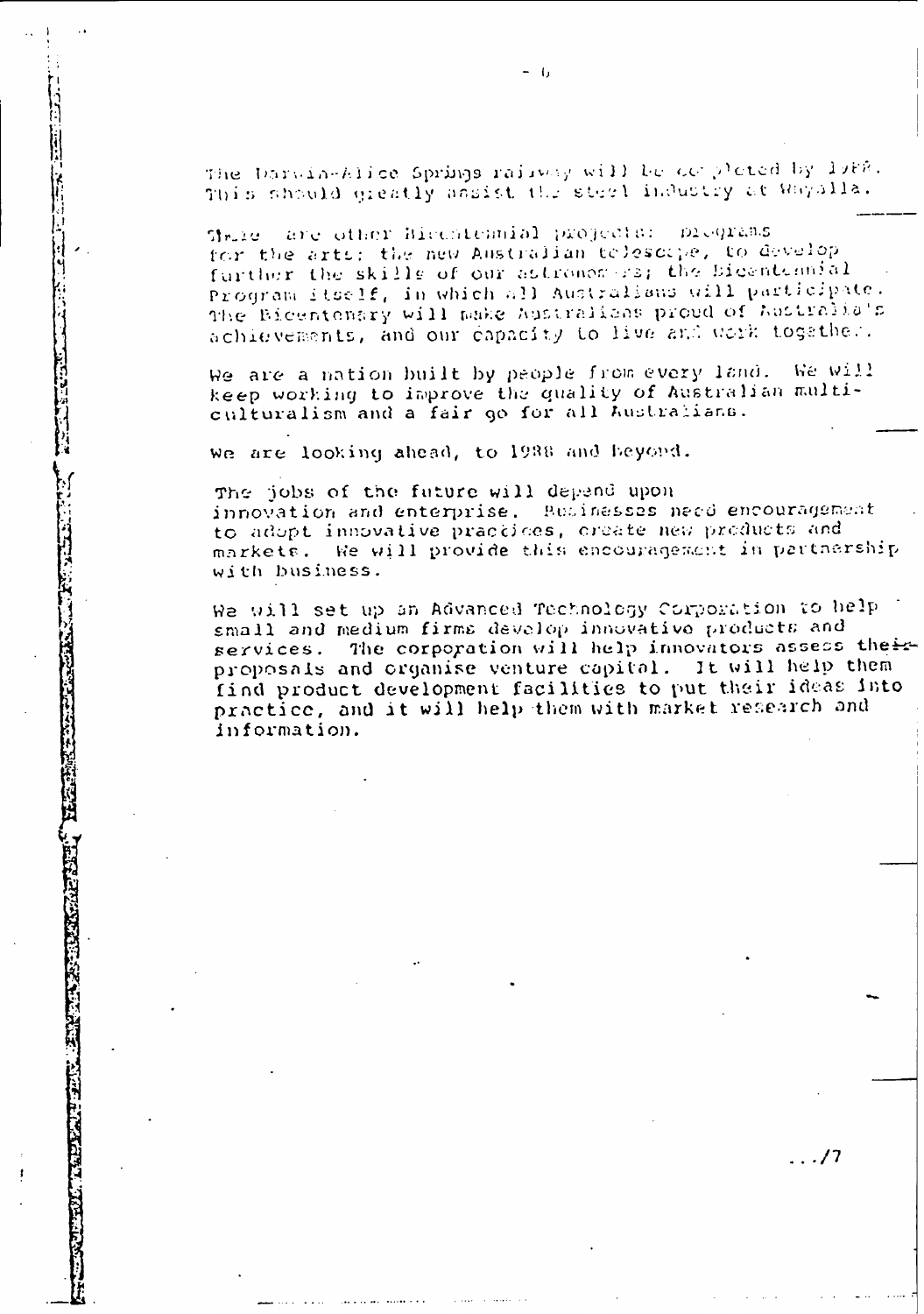The Darwin-Alice Springs raisway will be completed by larg. This should greatly assist the steel inductry at Rayalla.

Share are other Bicentennial projects: DIGQTEBS for the arts: the new Australian tolescope, to develop further the skills of our astronomers; the Bicentennial Program itself, in which all Australians will participate. The Bicentenary will make hustralishs proud of hustralia's achievements, and our capacity to live and work together.

We are a nation built by people from every land. Ne Will keep working to improve the quality of Australian multiculturalism and a fair go for all Australians.

we are looking ahead, to 1988 and heyond.

The jobs of the future will depend upon innovation and enterprise. Businesses need encouragement to adopt innovative practices, create new products and markets. He will provide this encouragement in partnership with business.

We will set up an Advanced Technology Corporation to belp small and medium firms develop innovative products and services. The corporation will help innovators assess their proposals and organise venture capital. It will help them find product development facilities to put their ideas into practice, and it will help them with market research and information.

 $\ldots$ /7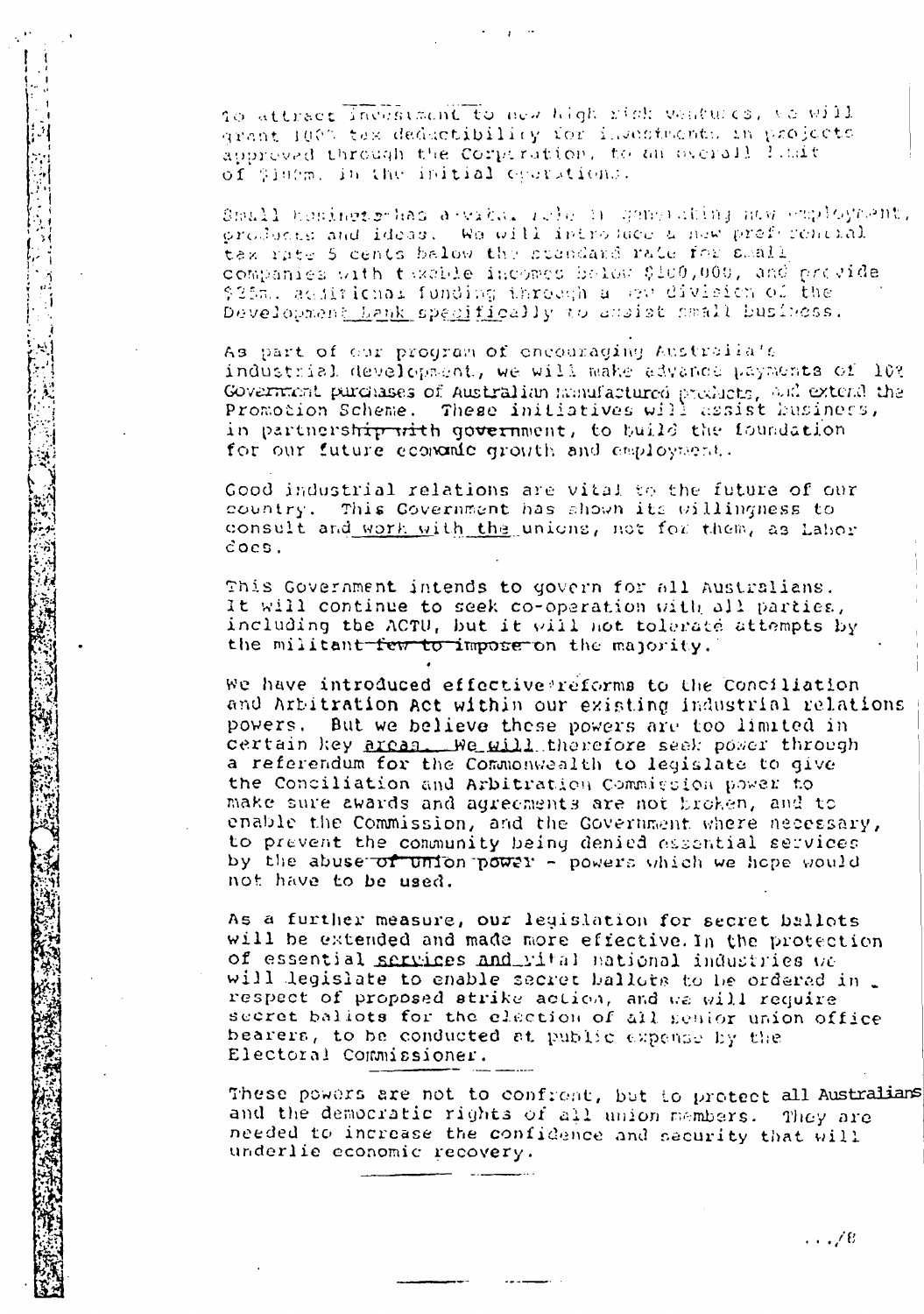to attract investment to new high righ ventures, ve will grant 100% tex deductibility for investments in projects approved through the Corporation, to an overall limit of \$100m, in the initial eperations.

Small homingto has a vital release gamerating nuw employment. products and ideas. We will introduce a new preferencial tex rate 5 cents below the standard rate for small companies with taxable incomes below \$100,000, and provide \$25m. aciitichai funding through a gew division of the Development Lank specifically to ansist cmall business.

As part of our program of encouraging Australia's industrial development, we will make advance payments of 10? Government purchases of Australian numufactured products, and extend the Promotion Scheme. These initiatives will assist husiness, in partnership with government, to build the foundation for our future economic growth and employment.

Good industrial relations are vital to the future of our country. This Covernment has shown its willingness to consult and work with the unions, not for them, as Labor  $\c{cos}$ .

This Government intends to govern for all Australians. It will continue to seek co-operation with all parties, including the ACTU, but it will not tolerate attempts by the militant few to impose on the majority.

We have introduced effective reforms to the Conciliation and Arbitration act within our existing industrial relations powers. But we believe these powers are too limited in certain key areas We will therefore seek power through a referendum for the Commonwealth to legislate to give the Conciliation and Arbitration Commission power to make sure awards and agreements are not broken, and to enable the Commission, and the Government where necessary, to prevent the community being denied essential services by the abuse of union power - powers which we hope would not have to be used.

As a further measure, our legislation for secret ballots will be extended and made more effective. In the protection of essential services and vital national industries we will legislate to enable secret ballots to be ordered in. respect of proposed strike action, and we will require bearers, to be conducted at public expense by the Electoral Commissioner.

These powers are not to confrent, but to protect all Australians and the democratic rights of all union members. They are needed to increase the confidence and security that will underlie economic recovery.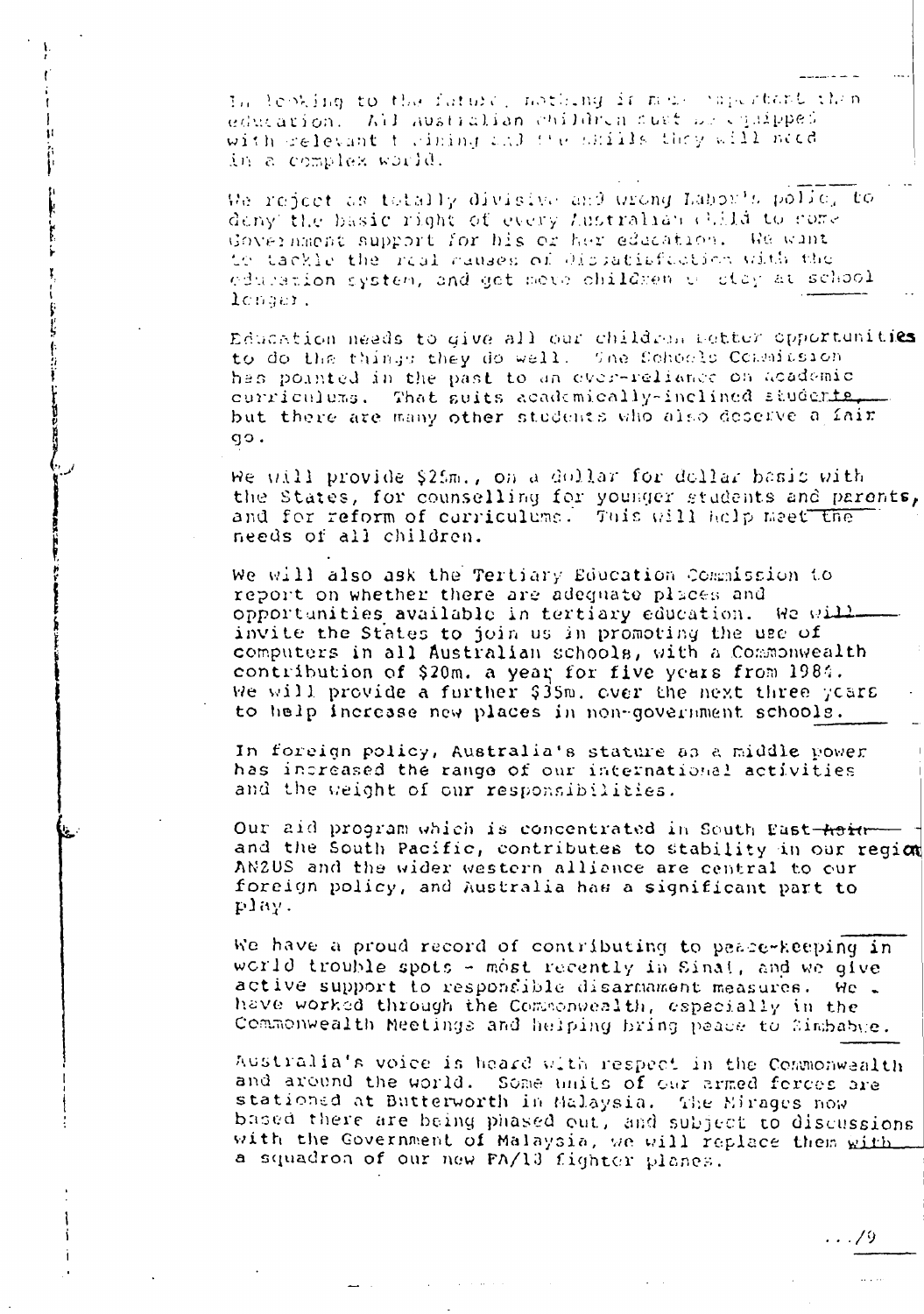In lephing to the future, nothing is made papertant then education. All australian children sust we equipped with delevant to dining and the bifills they will need in a complex world.

 $\mathbf{1}$ 

Ŀè.

We reject as totally divisive and urong Labor's polic, to deny the basic right of every Australian child to come Government support for his or her education. We wint to tackle the real causes of dispatisfaction with the eduration system, and get move children of otay at school lenger.

Education needs to give all our children better opportunities to do the things they do well. She Schools Commission has pointed in the past to an ever-reliance on academic curriculums. That suits academically-inclined students. but there are many other students who also deserve a fair qo.

We will provide \$25m., on a dollar for dollar basis with the States, for counselling for younger students and parents, and for reform of curriculums. This will help meet the needs of all children.

We will also ask the Tertiary Education Commission to report on whether there are adequate places and opportunities available in tertiary education. We will invite the States to join us in promoting the use of computers in all Australian schools, with a Commonwealth contribution of \$20m. a year for five years from 1984. We will provide a further \$35m. over the next three years to help incresse new places in non-government schools.

In foreign policy, Australia's stature as a middle power has increased the range of our international activities and the weight of our responsibilities.

Our aid program which is concentrated in South Past-Asian and the South Pacific, contributes to stability in our region AN2US and the wider western alliance are central to our foreign policy, and Australia has a significant part to play.

We have a proud record of contributing to peace-keeping in world trouble spots  $\sim$  most recently in Sinal, and we give active support to respondible disarmament measures. He . have worked through the Commonwealth, especially in the Commonwealth Meetings and helping bring peace to Simbabye.

Australia's voice is heard with respect in the Commonwealth and around the world. Some units of our armed ferces are stationed at Butterworth in Malaysia. The Mirages now based there are being phased out, and subject to discussions with the Government of Malaysia, we will replace them with a squadron of our new FA/13 fighter planes.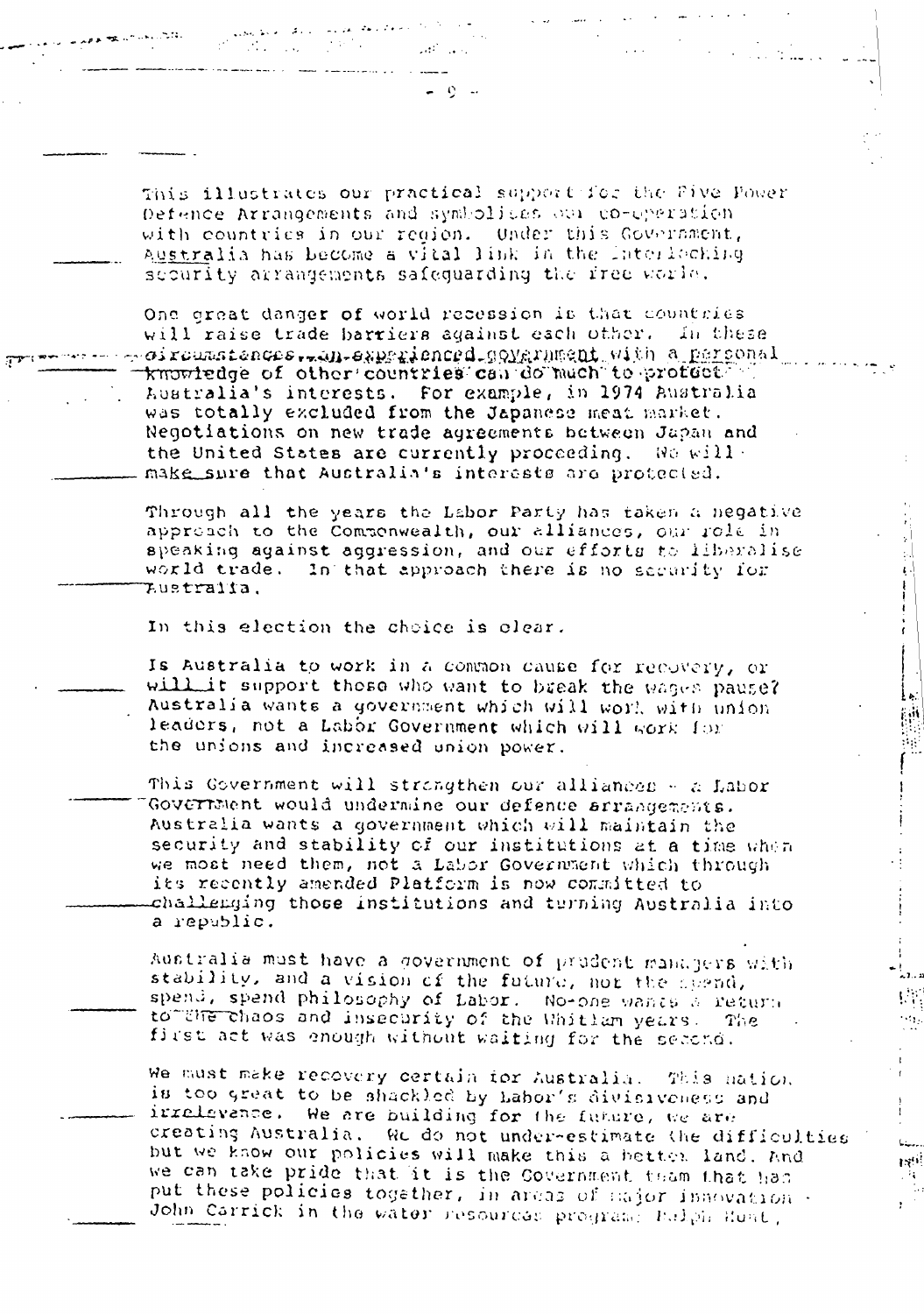This illustrates our practical support for the Five Fower Defence Arrangements and symbolices our co-operation. with countries in our realon. Under this Government, Australia has become a vital link in the Interlocking security arrangements safequarding the free world.

One great danger of world recession is that countries will raise trade barriers against each other. In these oircumstances, in experienced government with a personal knowledge of other countries can do much to profect in Australia's interests. For example, in 1974 Australia was totally excluded from the Japanese meat market. Negotiations on new trade agreements between Japan and the United States are currently proceeding. We willmake sure that Australia's interests are protected.

Through all the years the Labor Party has taken a negative approach to the Commonwealth, our alliances, our role in speaking against aggression, and our efforts to liberalise world trade. In that approach there is no security for Lustralia.

In this election the choice is clear.

Is Australia to work in a common cause for recovery, or will it support those who want to break the wages pause? Australia wants a government which will work with union. leaders, not a Labor Government which will work for the unions and increased union power.

 $\mathcal{L}_{\mathcal{D}}$ 

ندار و به  $\left\langle \mathcal{E}_{\mathcal{A}}\right\rangle$ 

 $\sim$   $\sim$ 

 $L_{\text{max}}$ 

**INTE** 

 $\sim 10^{-1}$ 

This Government will strangthen our alliances - a Labor Goverrment would undermine our defence arrangements. Australia wants a government which will maintain the security and stability of our institutions at a time when we most need them, not a Labor Government which through its recently amended Platform is now committed to challenging those institutions and turning Australia into a republic.

Australia must have a government of prudent managers with stability, and a vision of the future, nor the spend, spend, spend philosophy of Labor. No-one wants a return to UNE chaos and insecurity of the Whitlam years. The first act was enough without waiting for the second.

We must make recovery certain for Australia. This mation is too great to be shackled by Labor's divisiveness and irrelevance. We are building for the fundre, we are creating Australia. We do not under-estimate the difficulties but we know our policies will make this a better land. And we can take pride that it is the Covernment team that has put these policies together, in areas of sajor innovation. John Carrick in the water resources program: Bulph Hunt,

 $\mathcal{L}(\mathcal{A})$  and  $\mathcal{L}(\mathcal{A})$ 

and the state.<br>The state of the state of the state of the state of the state of the state of the state of the state of the sta

and a series of the series of the series of the series of the series of the series of the series of the series

 $\label{eq:2} \mathcal{L}(\mathcal{L}(\mathcal{L})) = \mathcal{L}(\mathcal{L}(\mathcal{L})) = \mathcal{L}(\mathcal{L}(\mathcal{L}))$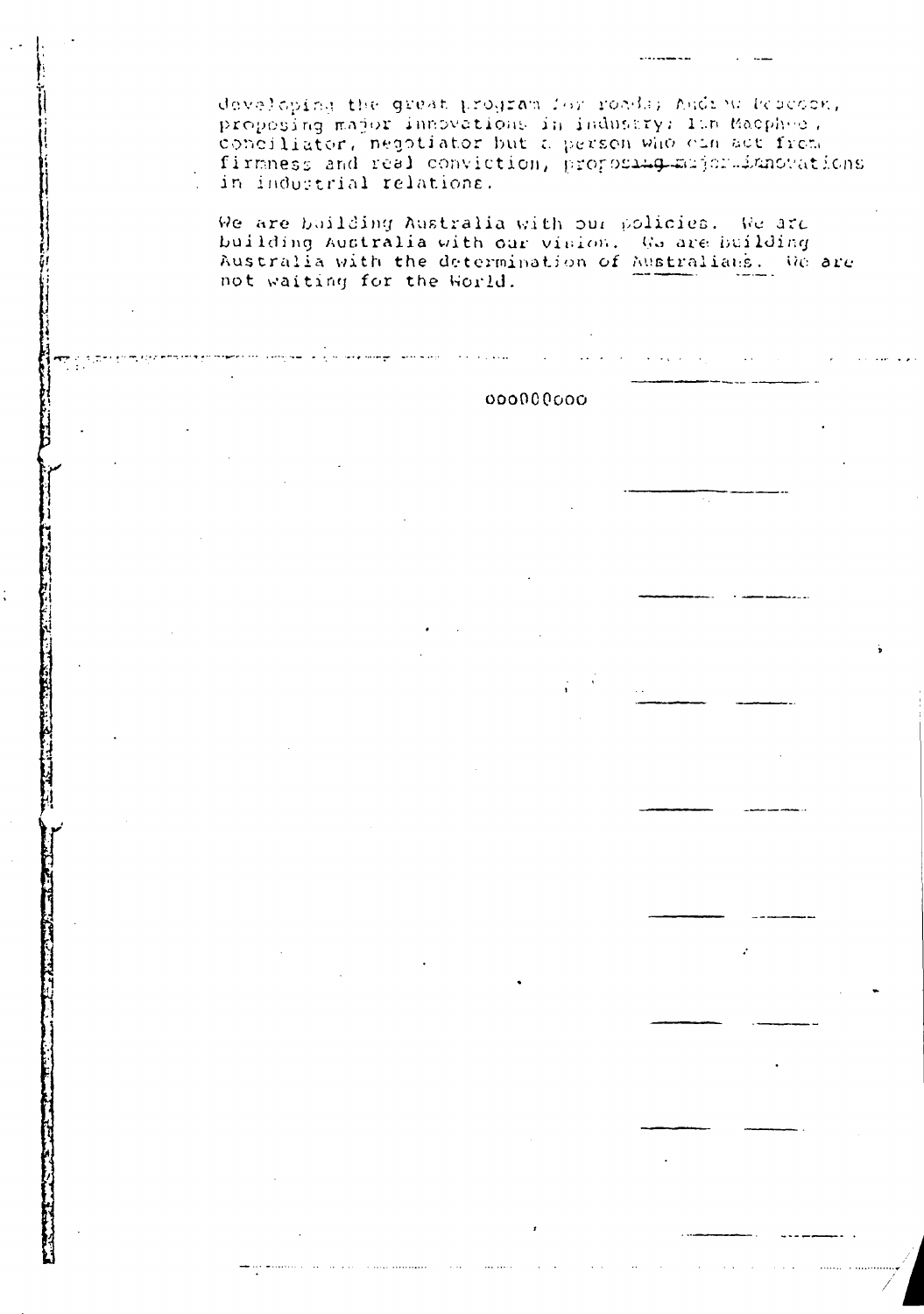developing the great program for roads; Andrew Research, proposing major imporations in industry: Ith Macphee, conciliator, negotiator but a person who can act from firmness and real conviction, proposing major imporations in industrial relations.

We are building Australia with our policies. We are building Australia with our vision. We are building Australia with the determination of Australians. We are not waiting for the World.

## 000000000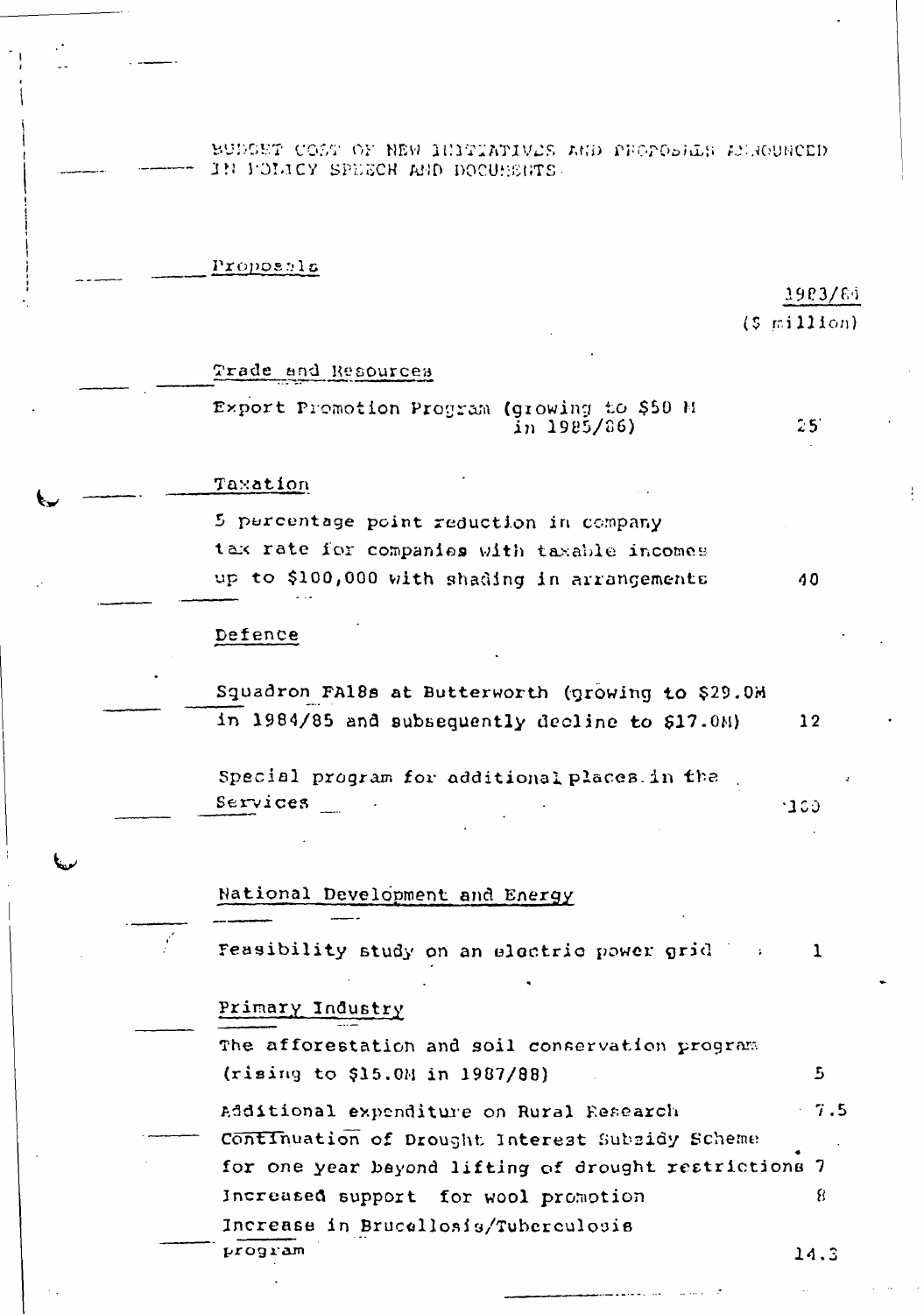BUDGET COST OF NEW INITIATIVES AND PROPOSILS ACROUNCED. IN POLICY SPEECH AND DOCUHENTS.

Proposals

### 1983/84

 $(5 \text{ mil1}$ 

 $25^\circ$ 

40

Trade and Resources

Export Premotion Program (growing to \$50 M  $in$  1985/86)

Taxation

5 percentage point reduction in company tax rate for companies with taxable incomes up to \$100,000 with shading in arrangements

#### Defence

Squadron FA18s at Butterworth (growing to \$29.0M in 1984/85 and subsequently decline to \$17.0M)  $12$ 

Special program for additional places in the  $S$ ervices  $-100$ 

National Development and Energy

Feasibility study on an electric power grid  $\mathbf{1}$ 

#### Primary Industry

The afforestation and soil conservation program (rising to \$15.0M in 1987/88) 5 Additional expenditure on Rural Research  $7.5$ Continuation of Drought Interest Subsidy Scheme

for one year bayond lifting of drought restrictions 7 8 Increased support for wool promotion Increase in Brucallosis/Tuberculosis program

 $14.3$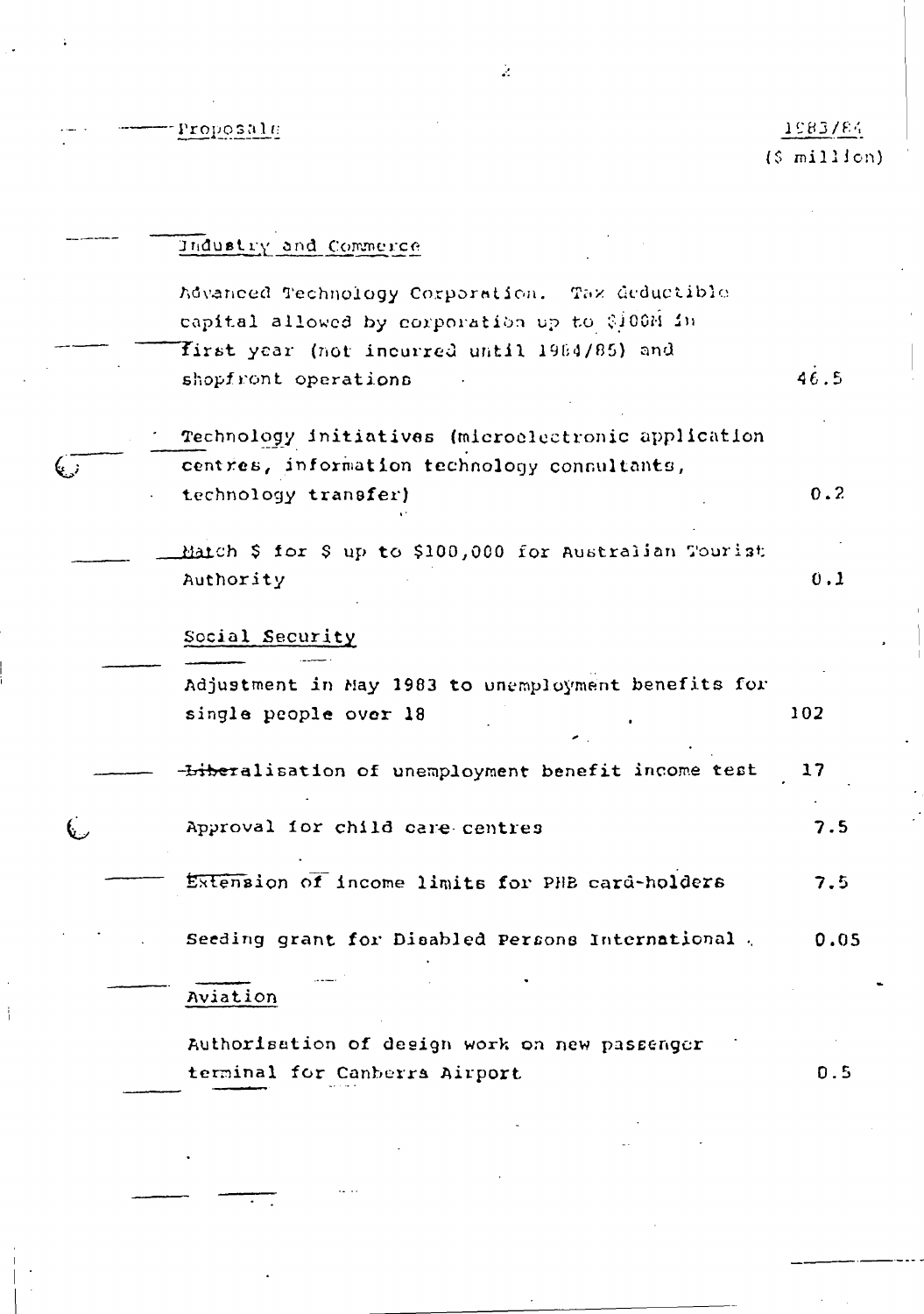Proposale

 $\ddot{\phantom{a}}$ 

 $\frac{1}{4}$ 

## 1983/84  $(5 \text{ million})$

|       | Industry and Commerce                                  |      |
|-------|--------------------------------------------------------|------|
|       | Advanced Technology Corporation. Tax deductible        |      |
|       | capital allowed by corporation up to \$100M in         |      |
|       | first year (not incurred until 1984/85) and            |      |
|       | shopfront operations                                   | 46.5 |
|       | Technology initiatives (microelectronic application    |      |
| ني پا | centres, information technology consultants,           |      |
|       | technology transfer)                                   | 0.2  |
|       | Match \$ for \$ up to \$100,000 for Australian Tourist |      |
|       | Authority                                              | 0.1  |
|       | Social Security                                        |      |
|       | Adjustment in May 1983 to unemployment benefits for    |      |
|       | single people over 18                                  | 102  |
|       | -Liberalisation of unemployment benefit income test    | 17   |
|       | Approval for child care centres                        | 7.5  |
|       | Extension of income limits for PHB card-holders        | 7.5  |
|       | Seeding grant for Disabled Persons International.      | 0.05 |
|       | Aviation                                               |      |
|       | Authorisation of design work on new passenger          |      |
|       | terminal for Canberra Airport                          | 0.5  |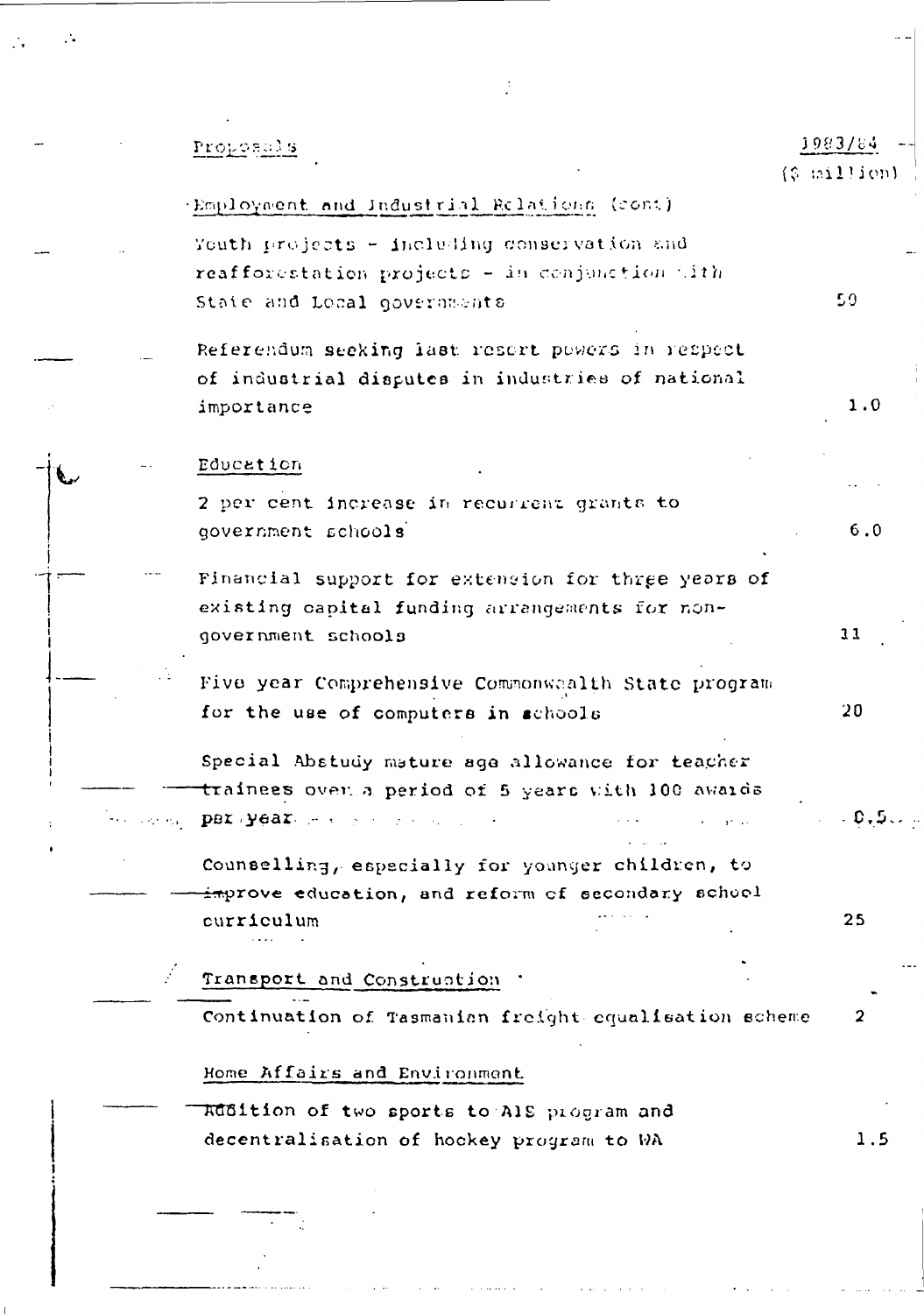# 1983/84 Proposals  $(9 \text{ million})$ (Employment and Industrial Relations (cont) Youth projects - including conservation and reafforestation projects - in conjunction with  $50<sub>5</sub>$ State and Local governments Referendum seeking last resert powers in respect of industrial disputes in industries of national  $1.0$ importance Education 2 per cent increase in recurrent grants to government schools  $6.0$ Financial support for extension for three years of existing capital funding arrangements for nongovernment schools  $11$ Five year Comprehensive Commonwaalth State program for the use of computers in schools  $20<sub>2</sub>$ Special Abstudy mature age allowance for teacher trainees over a period of 5 years with 100 awaids per year. The community of the community  $\sim$  0  $\scriptstyle\bullet$  5  $\scriptstyle\circ$  . Counselling, especially for younger children, to improve education, and reform of secondary school 25 curriculum Transport and Construction Continuation of Tasmanian freight equalisation scheme  $\mathbf{2}$ Home Affairs and Environment Rubition of two sports to AIS program and 1.5 decentralisation of hockey program to WA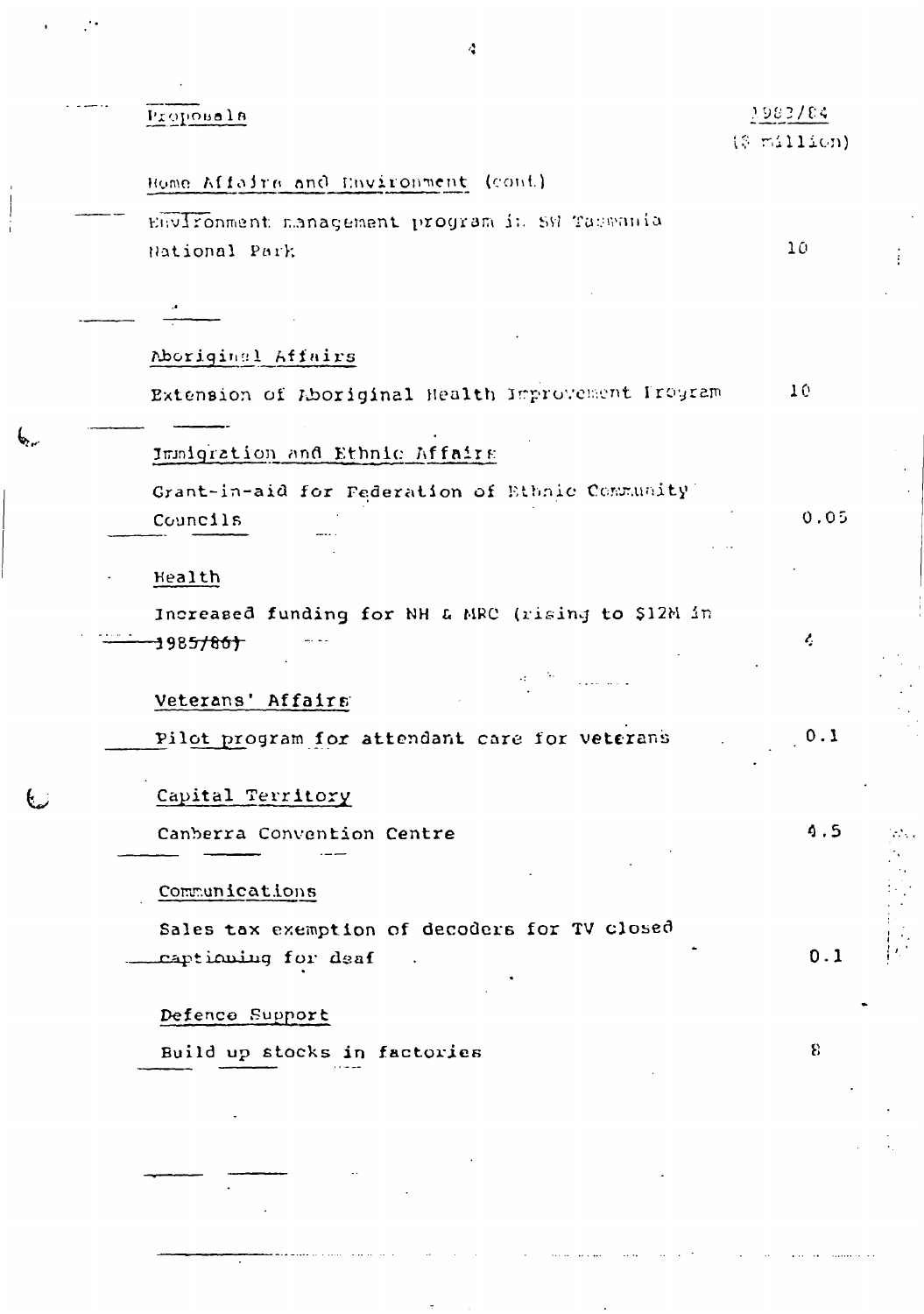| Proposala                                                                  | 7983784<br>(\$ million) |
|----------------------------------------------------------------------------|-------------------------|
| Home Affairs and Environment (cont)                                        |                         |
| Environment management program in SW Taswania<br>National Park             | 10 <sub>1</sub>         |
|                                                                            |                         |
| Aboriginal Affairs                                                         |                         |
| Extension of Aboriginal Health Improvement Program                         | 10                      |
| Immigration and Ethnic Affairs                                             |                         |
| Grant-in-aid for Federation of Ethnic Community<br>Councils                | 0.05                    |
| Health                                                                     |                         |
| Increased funding for NH & MRC (rising to \$12M in<br>198 <del>5/86)</del> | ŀ,                      |
| $\cdot$ :<br>Veterans' Affairs                                             |                         |
| Pilot program for attendant care for veterans                              | 0.1                     |
| Capital Territory                                                          |                         |
| Canberra Convention Centre                                                 | 4.5                     |
| Communications                                                             |                         |
| Sales tax exemption of decoders for TV closed<br>captioning for deaf       | 0.1                     |
| Defence Support                                                            |                         |
| Build up stocks in factories                                               | 8                       |
|                                                                            |                         |
|                                                                            |                         |

 $\ddot{\phantom{0}}$ 

 $\boldsymbol{\zeta}$ 

 $\ddot{\cdot}$ 

 $\begin{array}{c} \begin{array}{c} \hline \end{array} \\ \hline \end{array}$ 

f

 $\overline{\cdot}$ 

 $\ddot{\phantom{0}}$ 

 $\frac{1}{4}$ 

為人的 的复数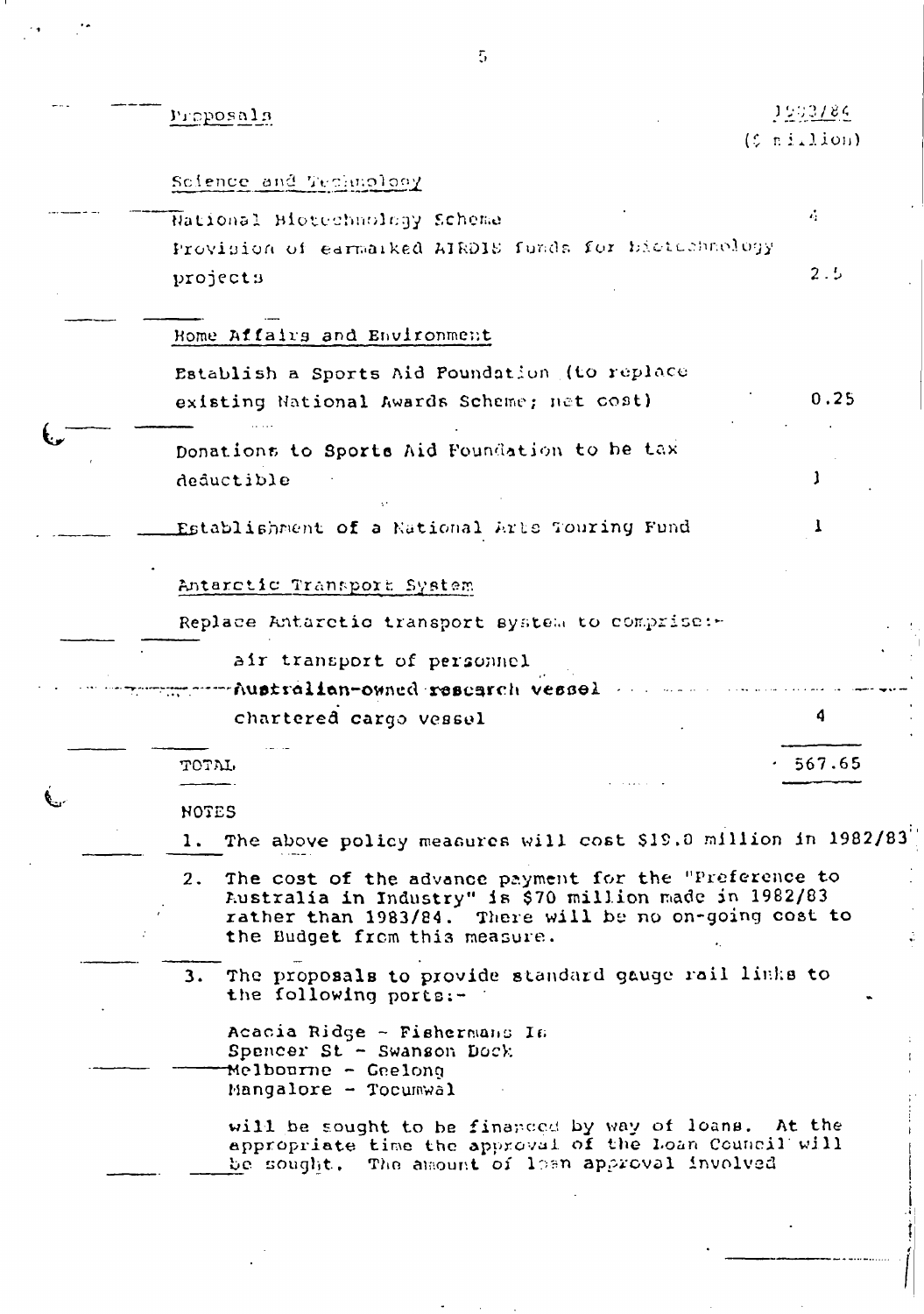| Proposals                                                                                                                                                                                                         | 1503/84<br>$(5 \tmin1$ ion) |  |  |
|-------------------------------------------------------------------------------------------------------------------------------------------------------------------------------------------------------------------|-----------------------------|--|--|
| Sofence and Technology                                                                                                                                                                                            |                             |  |  |
| National Biotechnology Scheme                                                                                                                                                                                     | $\mathcal{L}_2$             |  |  |
| Provision of earmarked AIRDIS funds for biotechnology<br>projects                                                                                                                                                 | 2.5                         |  |  |
| Home Affairs and Environment                                                                                                                                                                                      |                             |  |  |
| Establish a Sports Aid Poundation (to replace<br>existing National Awards Scheme; net cost)                                                                                                                       | 0.25                        |  |  |
| Donations to Sports Aid Foundation to be tax<br>deductible                                                                                                                                                        |                             |  |  |
| Establishment of a National Arts Touring Fund                                                                                                                                                                     |                             |  |  |
| Antarctic Transport System                                                                                                                                                                                        |                             |  |  |
| Replace Antarctio transport system to comprise:                                                                                                                                                                   |                             |  |  |
| air transport of personnel<br>Australian-owned research vessel .                                                                                                                                                  |                             |  |  |
| chartered cargo vessel                                                                                                                                                                                            | 4                           |  |  |
| TOTAL                                                                                                                                                                                                             | 567.65                      |  |  |
| <b>NOTES</b><br>1. The above policy measures will cost \$19.0 million in 1982/83                                                                                                                                  |                             |  |  |
| The cost of the advance payment for the "Preference to<br>2.<br>Australia in Industry" is \$70 million made in 1982/83<br>rather than 1983/84. There will be no on-going cost to<br>the Budget from this measure. |                             |  |  |
| 3. The proposals to provide standard gauge rail links to<br>the following ports:-                                                                                                                                 |                             |  |  |
| Acacia Ridge - Fishermans Is<br>Spencer St - Swanson Dock<br>Melbourne - Geelong<br>Mangalore - Tocumwal                                                                                                          |                             |  |  |
| will be sought to be financed by way of loans. At the<br>appropriate time the approval of the Loan Council will<br>be sought. The amount of losn approval involved                                                |                             |  |  |
|                                                                                                                                                                                                                   |                             |  |  |

 $\overline{5}$